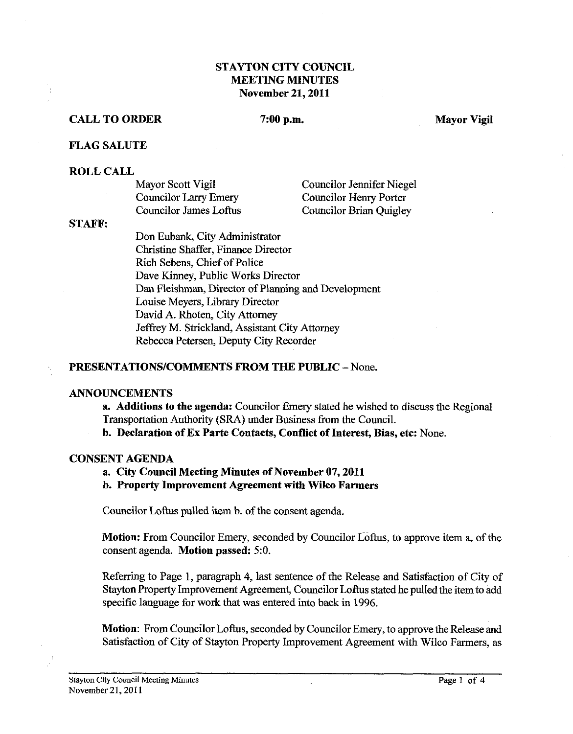# STAYTON CITY COUNCLL MEETING MINUTES November 21,2011

## CALL TO ORDER 7:00 p.m. Mayor Vigil

#### FLAG SALUTE

#### ROLL CALL

| Mayor Scott Vigil      | Councilor Jennifer Niegel     |
|------------------------|-------------------------------|
| Councilor Larry Emery  | <b>Councilor Henry Porter</b> |
| Councilor James Loftus | Councilor Brian Quigley       |

#### STAFF:

Don Enbank, City Administrator Christine Shaffer, Finance Director Rich Sebens, Chief of Police Dave Kinney, Public Works Director Dan Fleishman, Director of Planning and Development Louise Meyers, Library Director David A. Rhoten, City Attomey Jeffrey M. Strickland, Assistant City Attorney Rebecca Petersen, Deputy City Recorder

## PRESENTATIONS/COMMENTS FROM THE PUBLIC - None.

### ANNOUNCEMENTS

a. Additions to the agenda: Councilor Emery stated he wished to discuss the Regional Transportation Authority (SRA) under Business from the Council.

b. Declaration of Ex Parte Contacts, Conflict of Interest, Bias, etc: None.

#### CONSENT AGENDA

a. City Council Meeting Minutes of November 07,2011

b. Property Improvement Agreement with Wilco Farmers

Councilor Loftus pulled item b. of the consent agenda.

Motion: From Councilor Emery, seconded by Councilor Loftus, to approve item a. of the consent agenda. Motion passed: **5:O.** 

Referring to Page 1, paragraph 4, last sentence of the Release and Satisfaction of City of Stayton Property Improvement Agreement, Councilor Loftus stated he pulled the item to add specific language for work **that** was entered into back in 1996.

Motion: From Councilor Loftus, seconded by Councilor Emery, to approve the Release and Satisfaction of City of Stayton Property Improvement Agreement with Wilco Farmers, as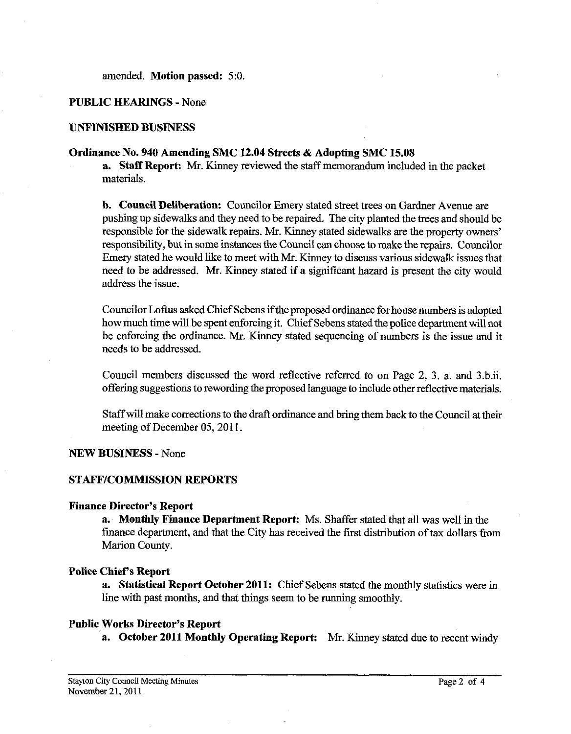amended. **Motion passed:** 5:O.

## **PUBLIC HEARINGS** - None

# **UNFINISHED BUSINESS**

## **Ordinance No. 940 Amending SMC 12.04 Streets** & **Adopting SMC 15.08**

**a. Staff Report: Mr.** Kinney reviewed the staff memorandum included in the packet materials.

**b. Council Deliberation:** Councilor Emery stated street trees on Gardner Avenue are pushing up sidewalks and they need to be repaired. The city planted the trees and should be responsible for the sidewalk repairs. Mr. Kinney stated sidewalks are the property owners' responsibility, but in some instances the Council can choose to make the repairs. Councilor Emery stated he would like to meet with Mr. Kinney to discuss various sidewalk issues that need to be addressed. Mr. Kinney stated if a significant hazard is present the city would address the issue.

Councilor Loftus asked Chief Sebens ifthe proposed ordinance for house numbers is adopted how much time will be spent enforcing it. Chief Sebens stated the police department will not be enforcing the ordinance. Mr. Kinney stated sequencing of numbers is the issue and it needs to be addressed.

Council members discussed the word reflective referred to on Page 2, 3. a. and 3.b.ii. offering suggestions to rewording the proposed language to include other reflective materials.

Staff will make corrections to the draft ordinance and bring them back to the Council at their meeting of December 05, 2011.

**NEW BUSIMESS** - None

## **STAFFICOMMISSION REPORTS**

#### **Finance Director's Report**

**a. Monthly Finance Department Report:** Ms. Shaffer stated that all was well in the finance department, and that the City has received the first distribution of **tax** dollars from Marion County.

### **Police Chief's Report**

**a. Statistical Report October 2011:** Chief Sebens stated the monthly statistics were in line with past months, and that things seem to be running smoothly.

## **Public Works Director's Report**

**a.** October 2011 Monthly Operating Report: Mr. Kinney stated due to recent windy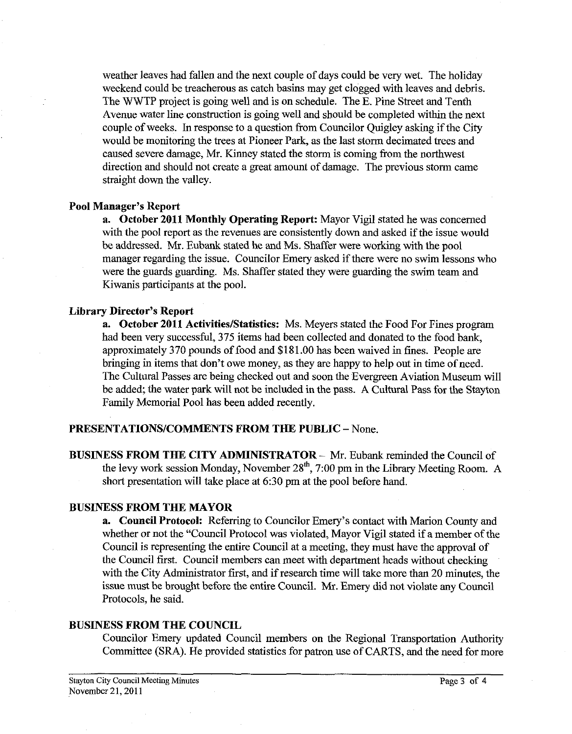weather leaves had fallen and the next couple of days could be very wet. The holiday weekend could be treacherous as catch basins may get clogged with leaves and debris. The WWTP project is going well and is on schedule. The E. Pine Street and Tenth Avenue water line construction is going well and should be completed within the next couple of weeks. In response to a question from Councilor Quigley asking if the City would be monitoring the trees at Pioneer Park, as the last storm decimated trees and caused severe damage, Mr. Kinney stated the storm is coming from the northwest direction and should not create a great amount of damage. The previous storm came straight down the valley.

# **Pool Manager's Report**

**a. October 2011 Monthly Operating Report:** Mayor Vigil stated he was concerned with the pool report as the revenues are consistently down and asked if the issue would be addressed. Mr. Eubank stated he and Ms. Shaffer were working with the pool manager regarding the issue. Councilor Emery asked if there were no swim lessons who were the guards guarding. Ms. Shaffer stated they were guarding the swim team and Kiwanis participants at the pool.

# **Library Director's Report**

**a.** October 2011 Activities/Statistics: Ms. Meyers stated the Food For Fines program had been very successful, 375 items had been collected and donated to the food bank, approximately 370 pounds of food and \$181.00 has been waived in fines. People are bringing in items that don't owe money, as they are happy to help out in time of need. The Cultural Passes are being checked out and soon the Evergreen Aviation Museum will be added; the water park will not be included in the pass. A Cultural Pass for the Stayton Family Memorial Pool has been added recently.

#### **PRESENTATIONSICOMMENTS FROM THE PUBLIC** - None.

**BUSINESS FROM THE CITY ADMINISTRATOR - Mr. Eubank reminded the Council of** the levy work session Monday, November  $28<sup>th</sup>$ , 7:00 pm in the Library Meeting Room. A short presentation will take place at *6:30* pm at the pool before hand.

### **BUSINESS FROM THE MAYOR**

**a. Council Protocol:** Referring to Councilor Emery's contact with Marion County and whether or not the "Council Protocol was violated, Mayor Vigil stated if a member of the Council is representing the entire Council at a meeting, they must have the approval of the Council first. Council members can meet with department heads without checking with the City Administrator first, and if research time will take more than 20 minutes, the issue must be brought before the entire Council. Mr. Emery did not violate any Council Protocols, he said.

# **BUSINESS FROM THE COUNCIL**

Councilor Emery updated Council members on the Regional Transportation Authority Committee (SRA). He provided statistics for patron use of CARTS, and the need for more